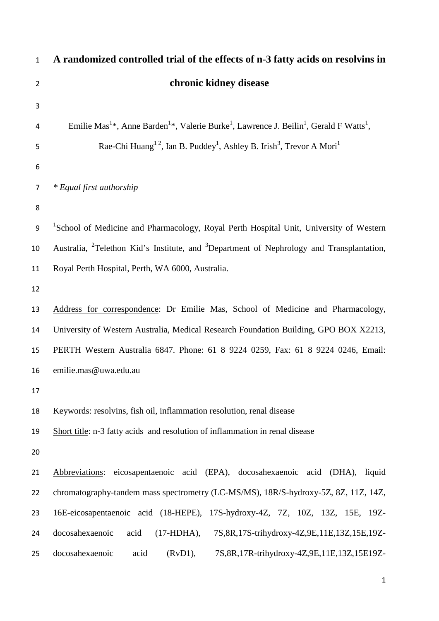| $\mathbf{1}$   | A randomized controlled trial of the effects of n-3 fatty acids on resolvins in                                                                     |  |  |  |  |  |
|----------------|-----------------------------------------------------------------------------------------------------------------------------------------------------|--|--|--|--|--|
| $\overline{2}$ | chronic kidney disease                                                                                                                              |  |  |  |  |  |
| 3              |                                                                                                                                                     |  |  |  |  |  |
| 4              | Emilie Mas <sup>1*</sup> , Anne Barden <sup>1*</sup> , Valerie Burke <sup>1</sup> , Lawrence J. Beilin <sup>1</sup> , Gerald F Watts <sup>1</sup> , |  |  |  |  |  |
| 5              | Rae-Chi Huang <sup>12</sup> , Ian B. Puddey <sup>1</sup> , Ashley B. Irish <sup>3</sup> , Trevor A Mori <sup>1</sup>                                |  |  |  |  |  |
| 6              |                                                                                                                                                     |  |  |  |  |  |
| $\overline{7}$ | * Equal first authorship                                                                                                                            |  |  |  |  |  |
| 8              |                                                                                                                                                     |  |  |  |  |  |
| 9              | <sup>1</sup> School of Medicine and Pharmacology, Royal Perth Hospital Unit, University of Western                                                  |  |  |  |  |  |
| 10             | Australia, <sup>2</sup> Telethon Kid's Institute, and <sup>3</sup> Department of Nephrology and Transplantation,                                    |  |  |  |  |  |
| 11             | Royal Perth Hospital, Perth, WA 6000, Australia.                                                                                                    |  |  |  |  |  |
| 12             |                                                                                                                                                     |  |  |  |  |  |
| 13             | Address for correspondence: Dr Emilie Mas, School of Medicine and Pharmacology,                                                                     |  |  |  |  |  |
| 14             | University of Western Australia, Medical Research Foundation Building, GPO BOX X2213,                                                               |  |  |  |  |  |
| 15             | PERTH Western Australia 6847. Phone: 61 8 9224 0259, Fax: 61 8 9224 0246, Email:                                                                    |  |  |  |  |  |
| 16             | emilie.mas@uwa.edu.au                                                                                                                               |  |  |  |  |  |
| 17             |                                                                                                                                                     |  |  |  |  |  |
| 18             | Keywords: resolvins, fish oil, inflammation resolution, renal disease                                                                               |  |  |  |  |  |
| 19             | Short title: n-3 fatty acids and resolution of inflammation in renal disease                                                                        |  |  |  |  |  |
| 20             |                                                                                                                                                     |  |  |  |  |  |
| 21             | eicosapentaenoic acid (EPA), docosahexaenoic acid (DHA),<br>Abbreviations:<br>liquid                                                                |  |  |  |  |  |
| 22             | chromatography-tandem mass spectrometry (LC-MS/MS), 18R/S-hydroxy-5Z, 8Z, 11Z, 14Z,                                                                 |  |  |  |  |  |
| 23             | 16E-eicosapentaenoic acid (18-HEPE), 17S-hydroxy-4Z, 7Z, 10Z, 13Z, 15E, 19Z-                                                                        |  |  |  |  |  |
| 24             | docosahexaenoic<br>$(17-HDHA),$<br>7S, 8R, 17S-trihydroxy-4Z, 9E, 11E, 13Z, 15E, 19Z-<br>acid                                                       |  |  |  |  |  |
| 25             | docosahexaenoic<br>acid<br>(RvD1),<br>7S, 8R, 17R-trihydroxy-4Z, 9E, 11E, 13Z, 15E19Z-                                                              |  |  |  |  |  |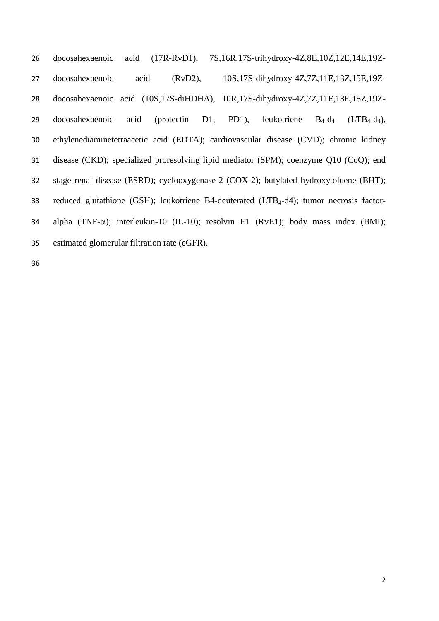docosahexaenoic acid (17R-RvD1), 7S,16R,17S-trihydroxy-4Z,8E,10Z,12E,14E,19Z- docosahexaenoic acid (RvD2), 10S,17S-dihydroxy-4Z,7Z,11E,13Z,15E,19Z- docosahexaenoic acid (10S,17S-diHDHA), 10R,17S-dihydroxy-4Z,7Z,11E,13E,15Z,19Z-29 docosahexaenoic acid (protectin D1, PD1), leukotriene  $B_4-d_4$  (LTB<sub>4</sub>-d<sub>4</sub>), ethylenediaminetetraacetic acid (EDTA); cardiovascular disease (CVD); chronic kidney disease (CKD); specialized proresolving lipid mediator (SPM); coenzyme Q10 (CoQ); end stage renal disease (ESRD); cyclooxygenase-2 (COX-2); butylated hydroxytoluene (BHT); 33 reduced glutathione (GSH); leukotriene B4-deuterated (LTB<sub>4</sub>-d4); tumor necrosis factor- alpha (TNF-α); interleukin-10 (IL-10); resolvin E1 (RvE1); body mass index (BMI); estimated glomerular filtration rate (eGFR).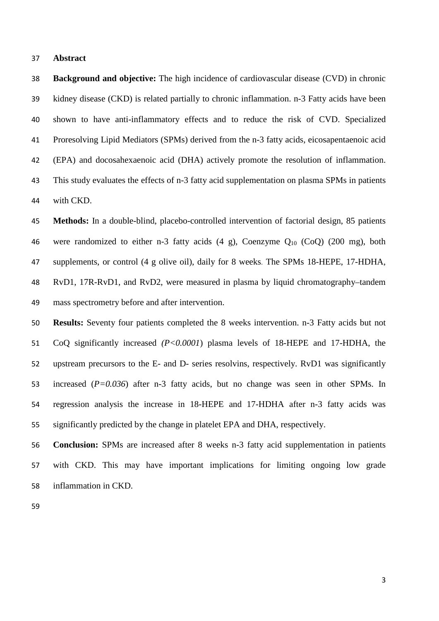#### **Abstract**

 **Background and objective:** The high incidence of cardiovascular disease (CVD) in chronic kidney disease (CKD) is related partially to chronic inflammation. n-3 Fatty acids have been shown to have anti-inflammatory effects and to reduce the risk of CVD. Specialized Proresolving Lipid Mediators (SPMs) derived from the n-3 fatty acids, eicosapentaenoic acid (EPA) and docosahexaenoic acid (DHA) actively promote the resolution of inflammation. This study evaluates the effects of n-3 fatty acid supplementation on plasma SPMs in patients with CKD.

 **Methods:** In a double-blind, placebo-controlled intervention of factorial design, 85 patients 46 were randomized to either n-3 fatty acids  $(4 \text{ g})$ , Coenzyme  $Q_{10}$  (CoQ) (200 mg), both supplements, or control (4 g olive oil), daily for 8 weeks. The SPMs 18-HEPE, 17-HDHA, RvD1, 17R-RvD1, and RvD2, were measured in plasma by liquid chromatography–tandem mass spectrometry before and after intervention.

 **Results:** Seventy four patients completed the 8 weeks intervention. n-3 Fatty acids but not CoQ significantly increased *(P<0.0001*) plasma levels of 18-HEPE and 17-HDHA, the upstream precursors to the E- and D- series resolvins, respectively. RvD1 was significantly increased (*P=0.036*) after n-3 fatty acids, but no change was seen in other SPMs. In regression analysis the increase in 18-HEPE and 17-HDHA after n-3 fatty acids was significantly predicted by the change in platelet EPA and DHA, respectively.

 **Conclusion:** SPMs are increased after 8 weeks n-3 fatty acid supplementation in patients with CKD. This may have important implications for limiting ongoing low grade inflammation in CKD.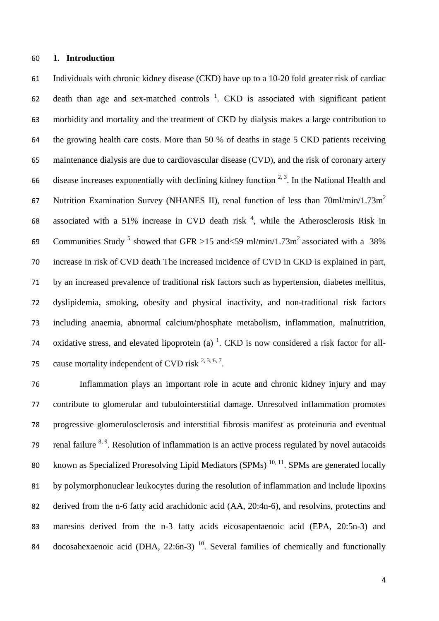## **1. Introduction**

 Individuals with chronic kidney disease (CKD) have up to a 10-20 fold greater risk of cardiac 62 death than age and sex-matched controls  $\frac{1}{2}$ [.](#page-14-0) CKD is associated with significant patient morbidity and mortality and the treatment of CKD by dialysis makes a large contribution to the growing health care costs. More than 50 % of deaths in stage 5 CKD patients receiving maintenance dialysis are due to cardiovascular disease (CVD), and the risk of coronary artery 66 disease increases exponentially with declining kidney function  $2.3$ . In the National Health and 67 Nutrition Examination Survey (NHANES II), renal function of less than 70ml/min/1.73m<sup>2</sup> 68 associated with a 51% increase in CVD death risk  $<sup>4</sup>$  $<sup>4</sup>$  $<sup>4</sup>$ , while the Atherosclerosis Risk in</sup> 69 Communities Study<sup>[5](#page-14-4)</sup> showed that GFR >15 and <59 ml/min/1.73m<sup>2</sup> associated with a 38% increase in risk of CVD death The increased incidence of CVD in CKD is explained in part, by an increased prevalence of traditional risk factors such as hypertension, diabetes mellitus, dyslipidemia, smoking, obesity and physical inactivity, and non-traditional risk factors including anaemia, abnormal calcium/phosphate metabolism, inflammation, malnutrition, 74 oxidative stress, and elevated lipoprotein (a)  $^{1}$ [.](#page-14-0) CKD is now considered a risk factor for all-75 cause mortality independent of CVD risk  $^{2, 3, 6, 7}$  $^{2, 3, 6, 7}$  $^{2, 3, 6, 7}$  $^{2, 3, 6, 7}$  $^{2, 3, 6, 7}$ .

 Inflammation plays an important role in acute and chronic kidney injury and may contribute to glomerular and tubulointerstitial damage. Unresolved inflammation promotes progressive glomerulosclerosis and interstitial fibrosis manifest as proteinuria and eventual 79 renal failure  $8, 9$  $8, 9$ . Resolution of inflammation is an active process regulated by novel autacoids 80 known as Specialized Proresolving Lipid Mediators (SPMs)  $^{10, 11}$  $^{10, 11}$  $^{10, 11}$  $^{10, 11}$ . SPMs are generated locally by polymorphonuclear leukocytes during the resolution of inflammation and include lipoxins derived from the n-6 fatty acid arachidonic acid (AA, 20:4n-6), and resolvins, protectins and maresins derived from the n-3 fatty acids eicosapentaenoic acid (EPA, 20:5n-3) and 84 docosahexaenoic acid (DHA,  $22:6n-3$ )<sup>[10](#page-15-1)</sup>. Several families of chemically and functionally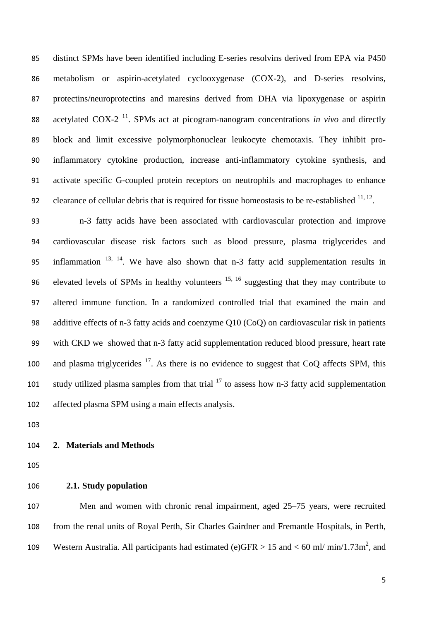distinct SPMs have been identified including E-series resolvins derived from EPA via P450 metabolism or aspirin-acetylated cyclooxygenase (COX-2), and D-series resolvins, protectins/neuroprotectins and maresins derived from DHA via lipoxygenase or aspirin acetylated COX-2<sup>[11](#page-15-2)</sup>. SPMs act at picogram-nanogram concentrations *in vivo* and directly block and limit excessive polymorphonuclear leukocyte chemotaxis. They inhibit pro- inflammatory cytokine production, increase anti-inflammatory cytokine synthesis, and activate specific G-coupled protein receptors on neutrophils and macrophages to enhance 92 clearance of cellular debris that is required for tissue homeostasis to be re-established  $^{11, 12}$  $^{11, 12}$  $^{11, 12}$  $^{11, 12}$ .

 n-3 fatty acids have been associated with cardiovascular protection and improve cardiovascular disease risk factors such as blood pressure, plasma triglycerides and 95 inflammation  $13, 14$  $13, 14$  $13, 14$ . We have also shown that n-3 fatty acid supplementation results in 96 elevated levels of SPMs in healthy volunteers  $15, 16$  $15, 16$  suggesting that they may contribute to altered immune function. In a randomized controlled trial that examined the main and additive effects of n-3 fatty acids and coenzyme Q10 (CoQ) on cardiovascular risk in patients with CKD we showed that n-3 fatty acid supplementation reduced blood pressure, heart rate 100 and plasma triglycerides . As there is no evidence to suggest that CoQ affects SPM, this 101 study utilized plasma samples from that trial to assess how n-3 fatty acid supplementation affected plasma SPM using a main effects analysis.

### **2. Materials and Methods**

**2.1. Study population**

 Men and women with chronic renal impairment, aged 25–75 years, were recruited from the renal units of Royal Perth, Sir Charles Gairdner and Fremantle Hospitals, in Perth, 109 Western Australia. All participants had estimated (e)GFR  $> 15$  and  $< 60$  ml/min/1.73m<sup>2</sup>, and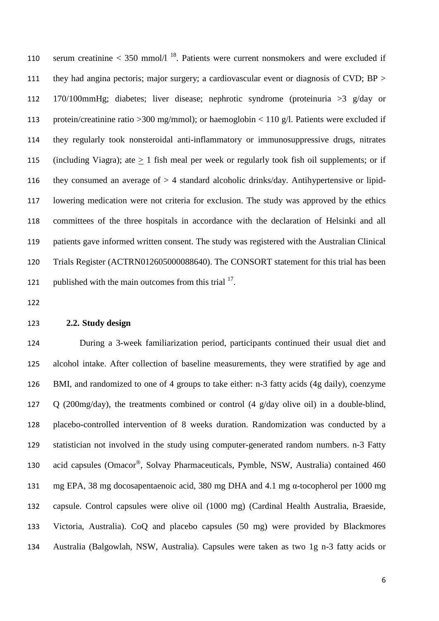110 serum creatinine  $<$  350 mmol/l  $^{18}$  $^{18}$  $^{18}$ . Patients were current nonsmokers and were excluded if 111 they had angina pectoris; major surgery; a cardiovascular event or diagnosis of CVD; BP > 170/100mmHg; diabetes; liver disease; nephrotic syndrome (proteinuria >3 g/day or protein/creatinine ratio >300 mg/mmol); or haemoglobin < 110 g/l. Patients were excluded if they regularly took nonsteroidal anti-inflammatory or immunosuppressive drugs, nitrates 115 (including Viagra); ate  $\geq 1$  fish meal per week or regularly took fish oil supplements; or if they consumed an average of > 4 standard alcoholic drinks/day. Antihypertensive or lipid- lowering medication were not criteria for exclusion. The study was approved by the ethics committees of the three hospitals in accordance with the declaration of Helsinki and all patients gave informed written consent. The study was registered with the Australian Clinical Trials Register (ACTRN012605000088640). The CONSORT statement for this trial has been 121 published with the main outcomes from this trial .

#### **2.2. Study design**

 During a 3-week familiarization period, participants continued their usual diet and alcohol intake. After collection of baseline measurements, they were stratified by age and BMI, and randomized to one of 4 groups to take either: n-3 fatty acids (4g daily), coenzyme Q (200mg/day), the treatments combined or control (4 g/day olive oil) in a double-blind, placebo-controlled intervention of 8 weeks duration. Randomization was conducted by a statistician not involved in the study using computer-generated random numbers. n-3 Fatty 130 acid capsules (Omacor®, Solvay Pharmaceuticals, Pymble, NSW, Australia) contained 460 mg EPA, 38 mg docosapentaenoic acid, 380 mg DHA and 4.1 mg α-tocopherol per 1000 mg capsule. Control capsules were olive oil (1000 mg) (Cardinal Health Australia, Braeside, Victoria, Australia). CoQ and placebo capsules (50 mg) were provided by Blackmores Australia (Balgowlah, NSW, Australia). Capsules were taken as two 1g n-3 fatty acids or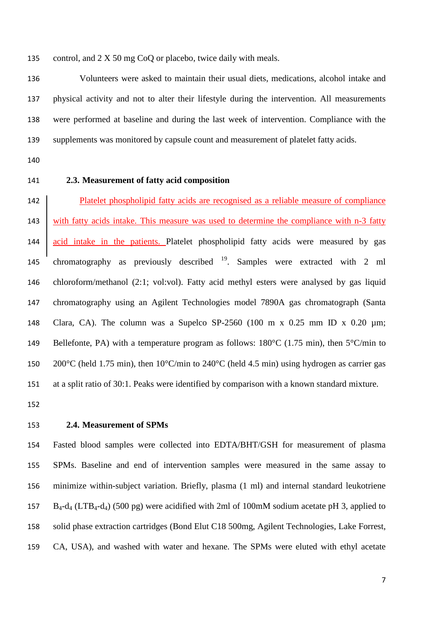135 control, and 2 X 50 mg CoQ or placebo, twice daily with meals.

 Volunteers were asked to maintain their usual diets, medications, alcohol intake and physical activity and not to alter their lifestyle during the intervention. All measurements were performed at baseline and during the last week of intervention. Compliance with the supplements was monitored by capsule count and measurement of platelet fatty acids.

### **2.3. Measurement of fatty acid composition**

 Platelet phospholipid fatty acids are recognised as a reliable measure of compliance 143 with fatty acids intake. This measure was used to determine the compliance with n-3 fatty 144 acid intake in the patients. Platelet phospholipid fatty acids were measured by gas 145 chromatography as previously described . Samples were extracted with 2 ml chloroform/methanol (2:1; vol:vol). Fatty acid methyl esters were analysed by gas liquid chromatography using an Agilent Technologies model 7890A gas chromatograph (Santa Clara, CA). The column was a Supelco SP-2560 (100 m x 0.25 mm ID x 0.20 µm; 149 Bellefonte, PA) with a temperature program as follows:  $180^{\circ}$ C (1.75 min), then  $5^{\circ}$ C/min to 200°C (held 1.75 min), then 10°C/min to 240°C (held 4.5 min) using hydrogen as carrier gas at a split ratio of 30:1. Peaks were identified by comparison with a known standard mixture.

## **2.4. Measurement of SPMs**

 Fasted blood samples were collected into EDTA/BHT/GSH for measurement of plasma SPMs. Baseline and end of intervention samples were measured in the same assay to minimize within-subject variation. Briefly, plasma (1 ml) and internal standard leukotriene 157 B<sub>4</sub>-d<sub>4</sub> (LTB<sub>4</sub>-d<sub>4</sub>) (500 pg) were acidified with 2ml of 100mM sodium acetate pH 3, applied to solid phase extraction cartridges (Bond Elut C18 500mg, Agilent Technologies, Lake Forrest, CA, USA), and washed with water and hexane. The SPMs were eluted with ethyl acetate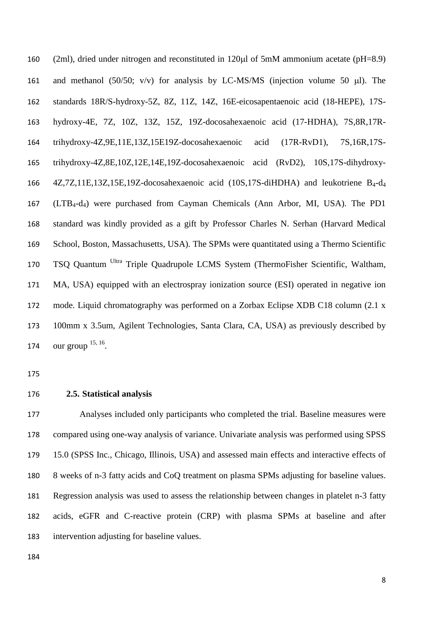(2ml), dried under nitrogen and reconstituted in 120µl of 5mM ammonium acetate (pH=8.9) 161 and methanol (50/50; v/v) for analysis by LC-MS/MS (injection volume 50  $\mu$ l). The standards 18R/S-hydroxy-5Z, 8Z, 11Z, 14Z, 16E-eicosapentaenoic acid (18-HEPE), 17S- hydroxy-4E, 7Z, 10Z, 13Z, 15Z, 19Z-docosahexaenoic acid (17-HDHA), 7S,8R,17R- trihydroxy-4Z,9E,11E,13Z,15E19Z-docosahexaenoic acid (17R-RvD1), 7S,16R,17S- trihydroxy-4Z,8E,10Z,12E,14E,19Z-docosahexaenoic acid (RvD2), 10S,17S-dihydroxy- 4Z,7Z,11E,13Z,15E,19Z-docosahexaenoic acid (10S,17S-diHDHA) and leukotriene B4-d4 (LTB4-d4) were purchased from Cayman Chemicals (Ann Arbor, MI, USA). The PD1 standard was kindly provided as a gift by Professor Charles N. Serhan (Harvard Medical School, Boston, Massachusetts, USA). The SPMs were quantitated using a Thermo Scientific 170 TSQ Quantum <sup>Ultra</sup> Triple Quadrupole LCMS System (ThermoFisher Scientific, Waltham, MA, USA) equipped with an electrospray ionization source (ESI) operated in negative ion mode. Liquid chromatography was performed on a Zorbax Eclipse XDB C18 column (2.1 x 100mm x 3.5um, Agilent Technologies, Santa Clara, CA, USA) as previously described by 174 our group  $^{15, 16}$  $^{15, 16}$  $^{15, 16}$ .

**2.5. Statistical analysis**

 Analyses included only participants who completed the trial. Baseline measures were compared using one-way analysis of variance. Univariate analysis was performed using SPSS 15.0 (SPSS Inc., Chicago, Illinois, USA) and assessed main effects and interactive effects of 8 weeks of n-3 fatty acids and CoQ treatment on plasma SPMs adjusting for baseline values. Regression analysis was used to assess the relationship between changes in platelet n-3 fatty acids, eGFR and C-reactive protein (CRP) with plasma SPMs at baseline and after intervention adjusting for baseline values.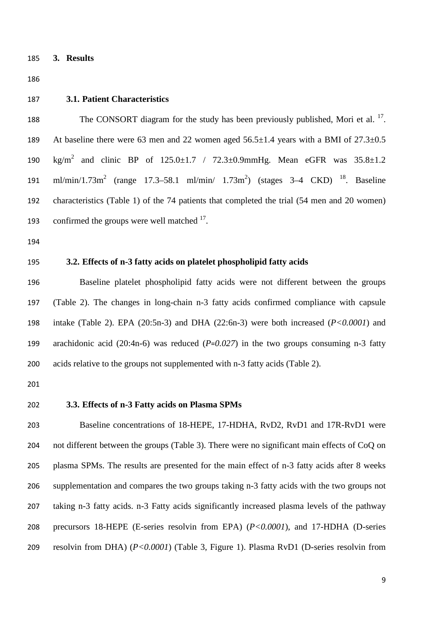**3. Results**

#### **3.1. Patient Characteristics**

188 The CONSORT diagram for the study has been previously published, Mori et al.  $^{17}$  $^{17}$  $^{17}$ . At baseline there were 63 men and 22 women aged 56.5±1.4 years with a BMI of 27.3±0.5 190  $\text{kg/m}^2$  and clinic BP of  $125.0 \pm 1.7$  /  $72.3 \pm 0.9 \text{mmHg}$ . Mean eGFR was  $35.8 \pm 1.2$ 191 ml/min/1.73m<sup>2</sup> (range 17.3–58.1 ml/min/ 1.73m<sup>2</sup>) (stages 3–4 CKD) <sup>[18](#page-15-9)</sup>. Baseline characteristics (Table 1) of the 74 patients that completed the trial (54 men and 20 women) 193 confirmed the groups were well matched .

- 
- 

## **3.2. Effects of n-3 fatty acids on platelet phospholipid fatty acids**

 Baseline platelet phospholipid fatty acids were not different between the groups (Table 2). The changes in long-chain n-3 fatty acids confirmed compliance with capsule intake (Table 2). EPA (20:5n-3) and DHA (22:6n-3) were both increased (*P<0.0001*) and arachidonic acid (20:4n-6) was reduced (*P*=*0.027*) in the two groups consuming n-3 fatty acids relative to the groups not supplemented with n-3 fatty acids (Table 2).

## **3.3. Effects of n-3 Fatty acids on Plasma SPMs**

 Baseline concentrations of 18-HEPE, 17-HDHA, RvD2, RvD1 and 17R-RvD1 were not different between the groups (Table 3). There were no significant main effects of CoQ on plasma SPMs. The results are presented for the main effect of n-3 fatty acids after 8 weeks supplementation and compares the two groups taking n-3 fatty acids with the two groups not taking n-3 fatty acids. n-3 Fatty acids significantly increased plasma levels of the pathway precursors 18-HEPE (E-series resolvin from EPA) (*P<0.0001*), and 17-HDHA (D-series resolvin from DHA) (*P<0.0001*) (Table 3, Figure 1). Plasma RvD1 (D-series resolvin from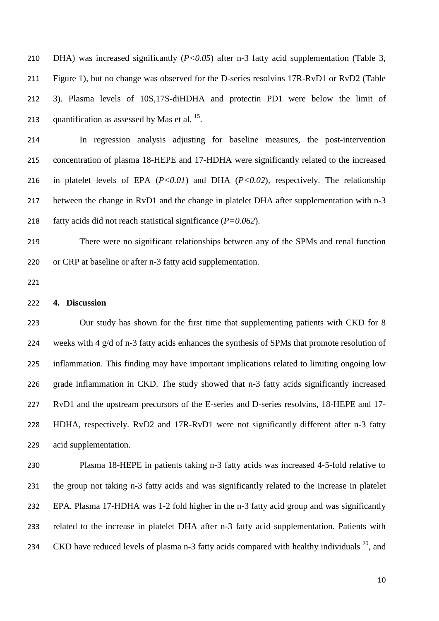DHA) was increased significantly (*P<0.05*) after n-3 fatty acid supplementation (Table 3, Figure 1), but no change was observed for the D-series resolvins 17R-RvD1 or RvD2 (Table 3). Plasma levels of 10S,17S-diHDHA and protectin PD1 were below the limit of 213 quantification as assessed by Mas et al. .

 In regression analysis adjusting for baseline measures, the post-intervention concentration of plasma 18-HEPE and 17-HDHA were significantly related to the increased in platelet levels of EPA (*P<0.01*) and DHA (*P<0.02*), respectively. The relationship between the change in RvD1 and the change in platelet DHA after supplementation with n-3 fatty acids did not reach statistical significance (*P=0.062*).

 There were no significant relationships between any of the SPMs and renal function or CRP at baseline or after n-3 fatty acid supplementation.

### **4. Discussion**

 Our study has shown for the first time that supplementing patients with CKD for 8 weeks with 4 g/d of n-3 fatty acids enhances the synthesis of SPMs that promote resolution of inflammation. This finding may have important implications related to limiting ongoing low grade inflammation in CKD. The study showed that n-3 fatty acids significantly increased RvD1 and the upstream precursors of the E-series and D-series resolvins, 18-HEPE and 17- HDHA, respectively. RvD2 and 17R-RvD1 were not significantly different after n-3 fatty acid supplementation.

 Plasma 18-HEPE in patients taking n-3 fatty acids was increased 4-5-fold relative to the group not taking n-3 fatty acids and was significantly related to the increase in platelet EPA. Plasma 17-HDHA was 1-2 fold higher in the n-3 fatty acid group and was significantly related to the increase in platelet DHA after n-3 fatty acid supplementation. Patients with 234 CKD have reduced levels of plasma n-3 fatty acids compared with healthy individuals  $^{20}$  $^{20}$  $^{20}$ , and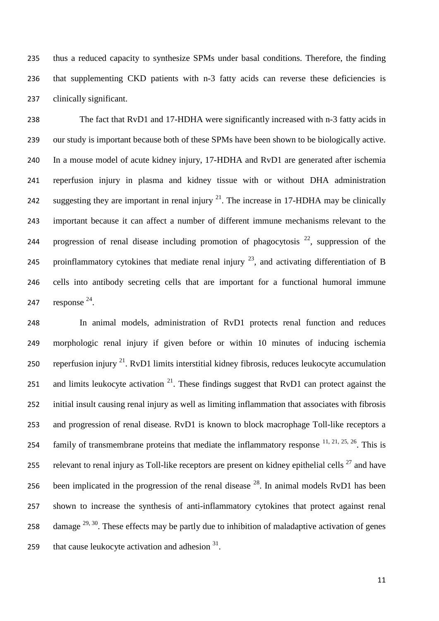thus a reduced capacity to synthesize SPMs under basal conditions. Therefore, the finding that supplementing CKD patients with n-3 fatty acids can reverse these deficiencies is clinically significant.

 The fact that RvD1 and 17-HDHA were significantly increased with n-3 fatty acids in our study is important because both of these SPMs have been shown to be biologically active. In a mouse model of acute kidney injury, 17-HDHA and RvD1 are generated after ischemia reperfusion injury in plasma and kidney tissue with or without DHA administration 242 suggesting they are important in renal injury  $2<sup>1</sup>$ . The increase in 17-HDHA may be clinically important because it can affect a number of different immune mechanisms relevant to the 244 progression of renal disease including promotion of phagocytosis , suppression of the 245 proinflammatory cytokines that mediate renal injury  $^{23}$  $^{23}$  $^{23}$ , and activating differentiation of B cells into antibody secreting cells that are important for a functional humoral immune 7 response .

 In animal models, administration of RvD1 protects renal function and reduces morphologic renal injury if given before or within 10 minutes of inducing ischemia 250 reperfusion injury  $^{21}$  $^{21}$  $^{21}$ . RvD1 limits interstitial kidney fibrosis, reduces leukocyte accumulation 251 and limits leukocyte activation . These findings suggest that RvD1 can protect against the initial insult causing renal injury as well as limiting inflammation that associates with fibrosis and progression of renal disease. RvD1 is known to block macrophage Toll-like receptors a 254 family of transmembrane proteins that mediate the inflammatory response  $^{11, 21, 25, 26}$  $^{11, 21, 25, 26}$  $^{11, 21, 25, 26}$  $^{11, 21, 25, 26}$  $^{11, 21, 25, 26}$  $^{11, 21, 25, 26}$ . This is 255 relevant to renal injury as Toll-like receptors are present on kidney epithelial cells and have 256 been implicated in the progression of the renal disease  $^{28}$  $^{28}$  $^{28}$ . In animal models RvD1 has been shown to increase the synthesis of anti-inflammatory cytokines that protect against renal 258 damage  $^{29, 30}$  $^{29, 30}$  $^{29, 30}$  $^{29, 30}$ . These effects may be partly due to inhibition of maladaptive activation of genes 259 that cause leukocyte activation and adhesion .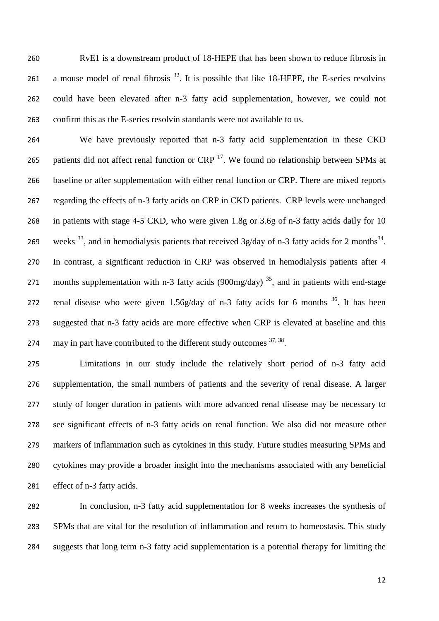RvE1 is a downstream product of 18-HEPE that has been shown to reduce fibrosis in 261 a mouse model of renal fibrosis . It is possible that like 18-HEPE, the E-series resolvins could have been elevated after n-3 fatty acid supplementation, however, we could not confirm this as the E-series resolvin standards were not available to us.

 We have previously reported that n-3 fatty acid supplementation in these CKD 265 patients did not affect renal function or  $CRP<sup>17</sup>$  $CRP<sup>17</sup>$  $CRP<sup>17</sup>$ . We found no relationship between SPMs at baseline or after supplementation with either renal function or CRP. There are mixed reports regarding the effects of n-3 fatty acids on CRP in CKD patients. CRP levels were unchanged in patients with stage 4-5 CKD, who were given 1.8g or 3.6g of n-3 fatty acids daily for 10 269 weeks <sup>33</sup>, and in hemodialysis patients that received 3g/day of n-3 fatty acids for 2 months<sup>[34](#page-17-6)</sup>. In contrast, a significant reduction in CRP was observed in hemodialysis patients after 4 271 months supplementation with n-3 fatty acids (900mg/day)<sup>[35](#page-17-7)</sup>, and in patients with end-stage 272 renal disease who were given  $1.56g/day$  of n-3 fatty acids for 6 months  $36$ . It has been suggested that n-3 fatty acids are more effective when CRP is elevated at baseline and this 274 may in part have contributed to the different study outcomes  $37, 38$  $37, 38$ .

 Limitations in our study include the relatively short period of n-3 fatty acid supplementation, the small numbers of patients and the severity of renal disease. A larger study of longer duration in patients with more advanced renal disease may be necessary to see significant effects of n-3 fatty acids on renal function. We also did not measure other markers of inflammation such as cytokines in this study. Future studies measuring SPMs and cytokines may provide a broader insight into the mechanisms associated with any beneficial effect of n-3 fatty acids.

 In conclusion, n-3 fatty acid supplementation for 8 weeks increases the synthesis of SPMs that are vital for the resolution of inflammation and return to homeostasis. This study suggests that long term n-3 fatty acid supplementation is a potential therapy for limiting the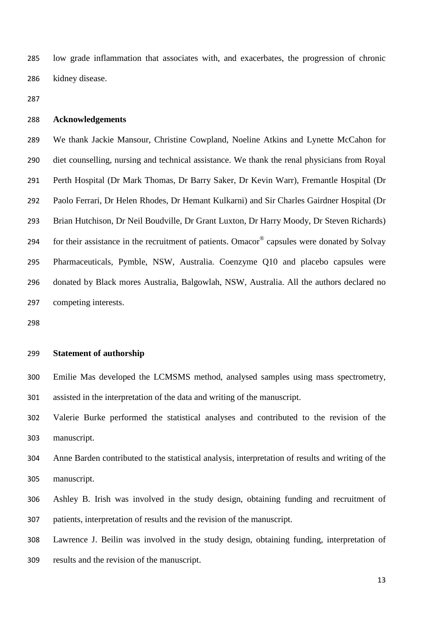low grade inflammation that associates with, and exacerbates, the progression of chronic kidney disease.

## **Acknowledgements**

 We thank Jackie Mansour, Christine Cowpland, Noeline Atkins and Lynette McCahon for diet counselling, nursing and technical assistance. We thank the renal physicians from Royal Perth Hospital (Dr Mark Thomas, Dr Barry Saker, Dr Kevin Warr), Fremantle Hospital (Dr Paolo Ferrari, Dr Helen Rhodes, Dr Hemant Kulkarni) and Sir Charles Gairdner Hospital (Dr Brian Hutchison, Dr Neil Boudville, Dr Grant Luxton, Dr Harry Moody, Dr Steven Richards) 294 for their assistance in the recruitment of patients. Omacor<sup>®</sup> capsules were donated by Solvay Pharmaceuticals, Pymble, NSW, Australia. Coenzyme Q10 and placebo capsules were donated by Black mores Australia, Balgowlah, NSW, Australia. All the authors declared no competing interests.

## **Statement of authorship**

 Emilie Mas developed the LCMSMS method, analysed samples using mass spectrometry, assisted in the interpretation of the data and writing of the manuscript.

 Valerie Burke performed the statistical analyses and contributed to the revision of the manuscript.

 Anne Barden contributed to the statistical analysis, interpretation of results and writing of the manuscript.

 Ashley B. Irish was involved in the study design, obtaining funding and recruitment of patients, interpretation of results and the revision of the manuscript.

Lawrence J. Beilin was involved in the study design, obtaining funding, interpretation of

results and the revision of the manuscript.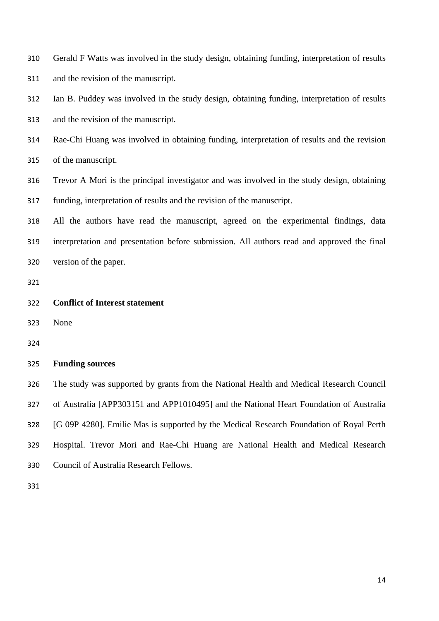| 310 | Gerald F Watts was involved in the study design, obtaining funding, interpretation of results |
|-----|-----------------------------------------------------------------------------------------------|
| 311 | and the revision of the manuscript.                                                           |
| 312 | Ian B. Puddey was involved in the study design, obtaining funding, interpretation of results  |
| 313 | and the revision of the manuscript.                                                           |
| 314 | Rae-Chi Huang was involved in obtaining funding, interpretation of results and the revision   |
| 315 | of the manuscript.                                                                            |
| 316 | Trevor A Mori is the principal investigator and was involved in the study design, obtaining   |
| 317 | funding, interpretation of results and the revision of the manuscript.                        |
| 318 | All the authors have read the manuscript, agreed on the experimental findings, data           |
| 319 | interpretation and presentation before submission. All authors read and approved the final    |
| 320 | version of the paper.                                                                         |
|     |                                                                                               |
| 321 |                                                                                               |
| 322 | <b>Conflict of Interest statement</b>                                                         |
| 323 | None                                                                                          |
| 324 |                                                                                               |
| 325 | <b>Funding sources</b>                                                                        |
| 326 | The study was supported by grants from the National Health and Medical Research Council       |
| 327 | of Australia [APP303151 and APP1010495] and the National Heart Foundation of Australia        |
| 328 | [G 09P 4280]. Emilie Mas is supported by the Medical Research Foundation of Royal Perth       |
| 329 | Hospital. Trevor Mori and Rae-Chi Huang are National Health and Medical Research              |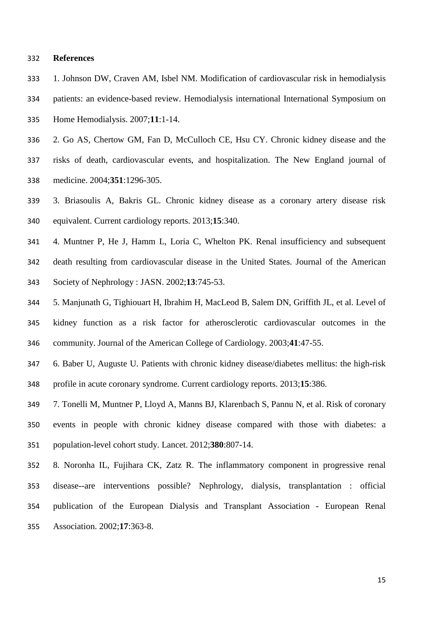#### **References**

- <span id="page-14-0"></span>1. Johnson DW, Craven AM, Isbel NM. Modification of cardiovascular risk in hemodialysis
- patients: an evidence-based review. Hemodialysis international International Symposium on
- Home Hemodialysis. 2007;**11**:1-14.
- <span id="page-14-1"></span>2. Go AS, Chertow GM, Fan D, McCulloch CE, Hsu CY. Chronic kidney disease and the
- risks of death, cardiovascular events, and hospitalization. The New England journal of medicine. 2004;**351**:1296-305.
- <span id="page-14-2"></span> 3. Briasoulis A, Bakris GL. Chronic kidney disease as a coronary artery disease risk equivalent. Current cardiology reports. 2013;**15**:340.
- <span id="page-14-3"></span> 4. Muntner P, He J, Hamm L, Loria C, Whelton PK. Renal insufficiency and subsequent death resulting from cardiovascular disease in the United States. Journal of the American Society of Nephrology : JASN. 2002;**13**:745-53.
- <span id="page-14-4"></span> 5. Manjunath G, Tighiouart H, Ibrahim H, MacLeod B, Salem DN, Griffith JL, et al. Level of kidney function as a risk factor for atherosclerotic cardiovascular outcomes in the community. Journal of the American College of Cardiology. 2003;**41**:47-55.
- <span id="page-14-5"></span> 6. Baber U, Auguste U. Patients with chronic kidney disease/diabetes mellitus: the high-risk profile in acute coronary syndrome. Current cardiology reports. 2013;**15**:386.
- <span id="page-14-6"></span> 7. Tonelli M, Muntner P, Lloyd A, Manns BJ, Klarenbach S, Pannu N, et al. Risk of coronary events in people with chronic kidney disease compared with those with diabetes: a population-level cohort study. Lancet. 2012;**380**:807-14.
- <span id="page-14-7"></span> 8. Noronha IL, Fujihara CK, Zatz R. The inflammatory component in progressive renal disease--are interventions possible? Nephrology, dialysis, transplantation : official publication of the European Dialysis and Transplant Association - European Renal Association. 2002;**17**:363-8.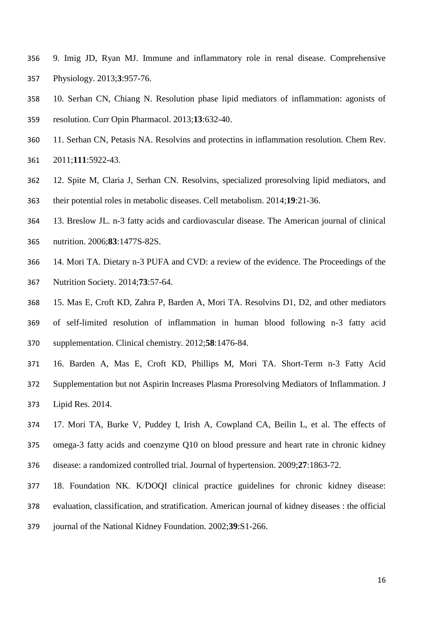- <span id="page-15-0"></span> 9. Imig JD, Ryan MJ. Immune and inflammatory role in renal disease. Comprehensive Physiology. 2013;**3**:957-76.
- <span id="page-15-1"></span> 10. Serhan CN, Chiang N. Resolution phase lipid mediators of inflammation: agonists of resolution. Curr Opin Pharmacol. 2013;**13**:632-40.
- <span id="page-15-2"></span> 11. Serhan CN, Petasis NA. Resolvins and protectins in inflammation resolution. Chem Rev. 2011;**111**:5922-43.
- <span id="page-15-3"></span> 12. Spite M, Claria J, Serhan CN. Resolvins, specialized proresolving lipid mediators, and their potential roles in metabolic diseases. Cell metabolism. 2014;**19**:21-36.
- <span id="page-15-4"></span>13. Breslow JL. n-3 fatty acids and cardiovascular disease. The American journal of clinical
- nutrition. 2006;**83**:1477S-82S.
- <span id="page-15-5"></span> 14. Mori TA. Dietary n-3 PUFA and CVD: a review of the evidence. The Proceedings of the Nutrition Society. 2014;**73**:57-64.
- <span id="page-15-6"></span> 15. Mas E, Croft KD, Zahra P, Barden A, Mori TA. Resolvins D1, D2, and other mediators of self-limited resolution of inflammation in human blood following n-3 fatty acid supplementation. Clinical chemistry. 2012;**58**:1476-84.
- <span id="page-15-7"></span> 16. Barden A, Mas E, Croft KD, Phillips M, Mori TA. Short-Term n-3 Fatty Acid Supplementation but not Aspirin Increases Plasma Proresolving Mediators of Inflammation. J Lipid Res. 2014.
- <span id="page-15-8"></span> 17. Mori TA, Burke V, Puddey I, Irish A, Cowpland CA, Beilin L, et al. The effects of omega-3 fatty acids and coenzyme Q10 on blood pressure and heart rate in chronic kidney disease: a randomized controlled trial. Journal of hypertension. 2009;**27**:1863-72.
- <span id="page-15-9"></span>18. Foundation NK. K/DOQI clinical practice guidelines for chronic kidney disease:
- evaluation, classification, and stratification. American journal of kidney diseases : the official
- journal of the National Kidney Foundation. 2002;**39**:S1-266.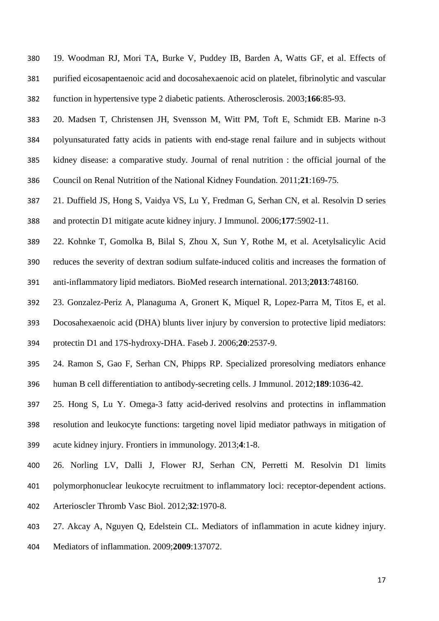- <span id="page-16-0"></span> 19. Woodman RJ, Mori TA, Burke V, Puddey IB, Barden A, Watts GF, et al. Effects of purified eicosapentaenoic acid and docosahexaenoic acid on platelet, fibrinolytic and vascular function in hypertensive type 2 diabetic patients. Atherosclerosis. 2003;**166**:85-93.
- <span id="page-16-1"></span> 20. Madsen T, Christensen JH, Svensson M, Witt PM, Toft E, Schmidt EB. Marine n-3 polyunsaturated fatty acids in patients with end-stage renal failure and in subjects without kidney disease: a comparative study. Journal of renal nutrition : the official journal of the Council on Renal Nutrition of the National Kidney Foundation. 2011;**21**:169-75.
- <span id="page-16-2"></span> 21. Duffield JS, Hong S, Vaidya VS, Lu Y, Fredman G, Serhan CN, et al. Resolvin D series and protectin D1 mitigate acute kidney injury. J Immunol. 2006;**177**:5902-11.
- <span id="page-16-3"></span> 22. Kohnke T, Gomolka B, Bilal S, Zhou X, Sun Y, Rothe M, et al. Acetylsalicylic Acid reduces the severity of dextran sodium sulfate-induced colitis and increases the formation of anti-inflammatory lipid mediators. BioMed research international. 2013;**2013**:748160.
- <span id="page-16-4"></span> 23. Gonzalez-Periz A, Planaguma A, Gronert K, Miquel R, Lopez-Parra M, Titos E, et al. Docosahexaenoic acid (DHA) blunts liver injury by conversion to protective lipid mediators: protectin D1 and 17S-hydroxy-DHA. Faseb J. 2006;**20**:2537-9.
- <span id="page-16-5"></span> 24. Ramon S, Gao F, Serhan CN, Phipps RP. Specialized proresolving mediators enhance human B cell differentiation to antibody-secreting cells. J Immunol. 2012;**189**:1036-42.
- <span id="page-16-6"></span> 25. Hong S, Lu Y. Omega-3 fatty acid-derived resolvins and protectins in inflammation resolution and leukocyte functions: targeting novel lipid mediator pathways in mitigation of acute kidney injury. Frontiers in immunology. 2013;**4**:1-8.
- <span id="page-16-7"></span> 26. Norling LV, Dalli J, Flower RJ, Serhan CN, Perretti M. Resolvin D1 limits polymorphonuclear leukocyte recruitment to inflammatory loci: receptor-dependent actions. Arterioscler Thromb Vasc Biol. 2012;**32**:1970-8.
- <span id="page-16-8"></span>27. Akcay A, Nguyen Q, Edelstein CL. Mediators of inflammation in acute kidney injury.
- Mediators of inflammation. 2009;**2009**:137072.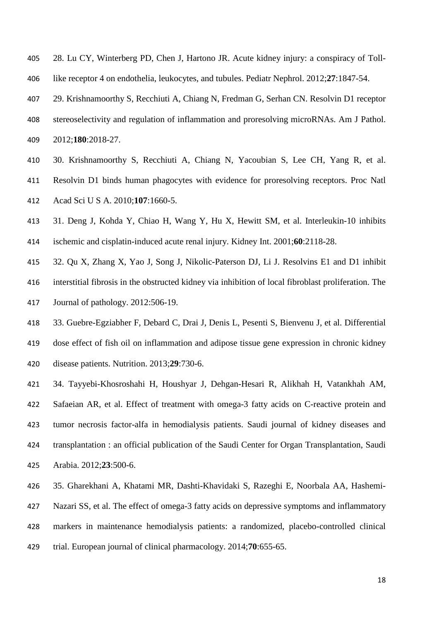- <span id="page-17-0"></span> 28. Lu CY, Winterberg PD, Chen J, Hartono JR. Acute kidney injury: a conspiracy of Toll-like receptor 4 on endothelia, leukocytes, and tubules. Pediatr Nephrol. 2012;**27**:1847-54.
- <span id="page-17-1"></span> 29. Krishnamoorthy S, Recchiuti A, Chiang N, Fredman G, Serhan CN. Resolvin D1 receptor stereoselectivity and regulation of inflammation and proresolving microRNAs. Am J Pathol. 2012;**180**:2018-27.
- <span id="page-17-2"></span> 30. Krishnamoorthy S, Recchiuti A, Chiang N, Yacoubian S, Lee CH, Yang R, et al. Resolvin D1 binds human phagocytes with evidence for proresolving receptors. Proc Natl Acad Sci U S A. 2010;**107**:1660-5.
- <span id="page-17-3"></span> 31. Deng J, Kohda Y, Chiao H, Wang Y, Hu X, Hewitt SM, et al. Interleukin-10 inhibits ischemic and cisplatin-induced acute renal injury. Kidney Int. 2001;**60**:2118-28.
- <span id="page-17-4"></span> 32. Qu X, Zhang X, Yao J, Song J, Nikolic-Paterson DJ, Li J. Resolvins E1 and D1 inhibit interstitial fibrosis in the obstructed kidney via inhibition of local fibroblast proliferation. The Journal of pathology. 2012:506-19.
- <span id="page-17-5"></span> 33. Guebre-Egziabher F, Debard C, Drai J, Denis L, Pesenti S, Bienvenu J, et al. Differential dose effect of fish oil on inflammation and adipose tissue gene expression in chronic kidney disease patients. Nutrition. 2013;**29**:730-6.
- <span id="page-17-6"></span> 34. Tayyebi-Khosroshahi H, Houshyar J, Dehgan-Hesari R, Alikhah H, Vatankhah AM, Safaeian AR, et al. Effect of treatment with omega-3 fatty acids on C-reactive protein and tumor necrosis factor-alfa in hemodialysis patients. Saudi journal of kidney diseases and transplantation : an official publication of the Saudi Center for Organ Transplantation, Saudi Arabia. 2012;**23**:500-6.
- <span id="page-17-7"></span> 35. Gharekhani A, Khatami MR, Dashti-Khavidaki S, Razeghi E, Noorbala AA, Hashemi- Nazari SS, et al. The effect of omega-3 fatty acids on depressive symptoms and inflammatory markers in maintenance hemodialysis patients: a randomized, placebo-controlled clinical
- trial. European journal of clinical pharmacology. 2014;**70**:655-65.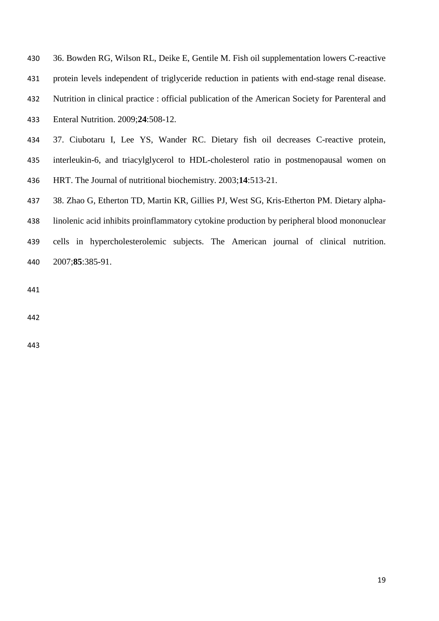<span id="page-18-0"></span>

| 430 | 36. Bowden RG, Wilson RL, Deike E, Gentile M. Fish oil supplementation lowers C-reactive         |  |  |  |  |  |  |
|-----|--------------------------------------------------------------------------------------------------|--|--|--|--|--|--|
| 431 | protein levels independent of triglyceride reduction in patients with end-stage renal disease.   |  |  |  |  |  |  |
| 432 | Nutrition in clinical practice : official publication of the American Society for Parenteral and |  |  |  |  |  |  |
| 433 | Enteral Nutrition. 2009;24:508-12.                                                               |  |  |  |  |  |  |
| 434 | 37. Ciubotaru I, Lee YS, Wander RC. Dietary fish oil decreases C-reactive protein,               |  |  |  |  |  |  |

- <span id="page-18-1"></span> interleukin-6, and triacylglycerol to HDL-cholesterol ratio in postmenopausal women on HRT. The Journal of nutritional biochemistry. 2003;**14**:513-21.
- <span id="page-18-2"></span>38. Zhao G, Etherton TD, Martin KR, Gillies PJ, West SG, Kris-Etherton PM. Dietary alpha-
- linolenic acid inhibits proinflammatory cytokine production by peripheral blood mononuclear
- cells in hypercholesterolemic subjects. The American journal of clinical nutrition. 2007;**85**:385-91.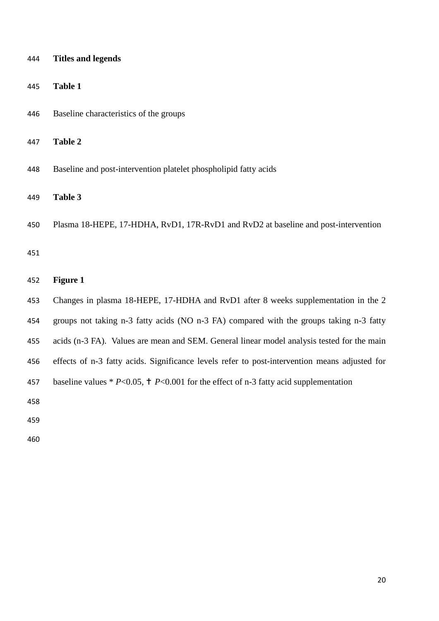| 444 | <b>Titles and legends</b>                                                                     |
|-----|-----------------------------------------------------------------------------------------------|
| 445 | <b>Table 1</b>                                                                                |
| 446 | Baseline characteristics of the groups                                                        |
| 447 | Table 2                                                                                       |
| 448 | Baseline and post-intervention platelet phospholipid fatty acids                              |
| 449 | Table 3                                                                                       |
| 450 | Plasma 18-HEPE, 17-HDHA, RvD1, 17R-RvD1 and RvD2 at baseline and post-intervention            |
| 451 |                                                                                               |
| 452 | <b>Figure 1</b>                                                                               |
| 453 | Changes in plasma 18-HEPE, 17-HDHA and RvD1 after 8 weeks supplementation in the 2            |
| 454 | groups not taking n-3 fatty acids (NO n-3 FA) compared with the groups taking n-3 fatty       |
| 455 | acids (n-3 FA). Values are mean and SEM. General linear model analysis tested for the main    |
| 456 | effects of n-3 fatty acids. Significance levels refer to post-intervention means adjusted for |
| 457 | baseline values * $P<0.05$ , † $P<0.001$ for the effect of n-3 fatty acid supplementation     |
| 458 |                                                                                               |
| 459 |                                                                                               |
| 460 |                                                                                               |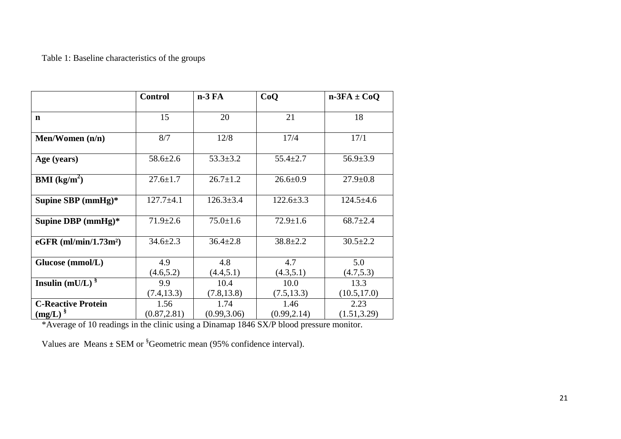# Table 1: Baseline characteristics of the groups

|                                           | <b>Control</b>       | $n-3FA$                          | CoO                  | $n-3FA \pm CoQ$      |
|-------------------------------------------|----------------------|----------------------------------|----------------------|----------------------|
| $\mathbf n$                               | 15                   | 20                               | 21                   | 18                   |
| Men/Women $(n/n)$                         | 8/7                  | 12/8                             | 17/4                 | 17/1                 |
| Age (years)                               | $58.6 \pm 2.6$       | $53.3 \pm 3.2$<br>$55.4 \pm 2.7$ |                      | $56.9 \pm 3.9$       |
| <b>BMI</b> ( $kg/m2$ )                    | $27.6 \pm 1.7$       | $26.7 \pm 1.2$                   | $26.6 \pm 0.9$       | $27.9 \pm 0.8$       |
| Supine SBP (mmHg)*                        | $127.7 + 4.1$        | $126.3 \pm 3.4$                  | $122.6 \pm 3.3$      | $124.5 \pm 4.6$      |
| Supine DBP $(mmHg)*$                      | $71.9 \pm 2.6$       | $75.0 \pm 1.6$                   | $72.9 \pm 1.6$       | $68.7 \pm 2.4$       |
| $eGFR$ (ml/min/1.73m <sup>2</sup> )       | $34.6 \pm 2.3$       | $36.4 \pm 2.8$                   | $38.8 \pm 2.2$       | $30.5 \pm 2.2$       |
| Glucose (mmol/L)                          | 4.9<br>(4.6, 5.2)    | 4.8<br>(4.4, 5.1)                | 4.7<br>(4.3,5.1)     | 5.0<br>(4.7, 5.3)    |
| Insulin (mU/L) $\frac{8}{3}$              | 9.9<br>(7.4, 13.3)   | 10.4<br>(7.8, 13.8)              | 10.0<br>(7.5, 13.3)  | 13.3<br>(10.5, 17.0) |
| <b>C-Reactive Protein</b><br>$(mg/L)^{8}$ | 1.56<br>(0.87, 2.81) | 1.74<br>(0.99, 3.06)             | 1.46<br>(0.99, 2.14) | 2.23<br>(1.51, 3.29) |

\*Average of 10 readings in the clinic using a Dinamap 1846 SX/P blood pressure monitor.

Values are Means  $\pm$  SEM or  ${}^{8}$ Geometric mean (95% confidence interval).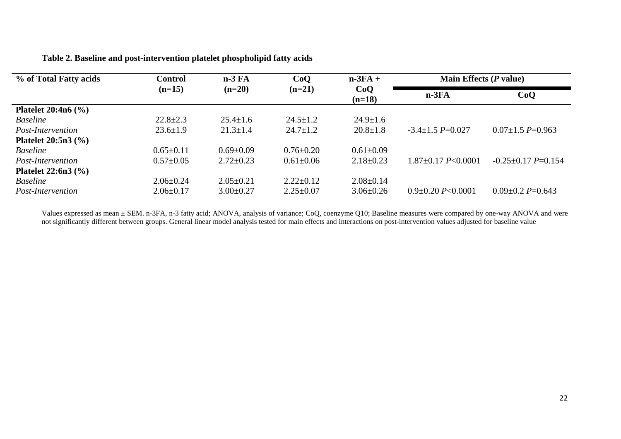## **Table 2. Baseline and post-intervention platelet phospholipid fatty acids**

| % of Total Fatty acids   | Control         | $n-3FA$         | CoQ             | $n-3FA +$       | Main Effects $(P$ value)   |                          |
|--------------------------|-----------------|-----------------|-----------------|-----------------|----------------------------|--------------------------|
|                          | $(n=15)$        | $(n=20)$        | $(n=21)$        | CoQ<br>$(n=18)$ | $n-3FA$                    | CoQ                      |
| Platelet $20:4n6$ (%)    |                 |                 |                 |                 |                            |                          |
| <b>Baseline</b>          | $22.8 \pm 2.3$  | $25.4 \pm 1.6$  | $24.5 \pm 1.2$  | $24.9 \pm 1.6$  |                            |                          |
| <i>Post-Intervention</i> | $23.6 \pm 1.9$  | $21.3 \pm 1.4$  | $24.7 \pm 1.2$  | $20.8 \pm 1.8$  | $-3.4 \pm 1.5$ P=0.027     | $0.07 \pm 1.5 P = 0.963$ |
| Platelet $20:5n3$ (%)    |                 |                 |                 |                 |                            |                          |
| <b>Baseline</b>          | $0.65 \pm 0.11$ | $0.69 \pm 0.09$ | $0.76 \pm 0.20$ | $0.61 \pm 0.09$ |                            |                          |
| Post-Intervention        | $0.57 \pm 0.05$ | $2.72 \pm 0.23$ | $0.61 \pm 0.06$ | $2.18 \pm 0.23$ | $1.87 \pm 0.17$ P < 0.0001 | $-0.25 \pm 0.17$ P=0.154 |
| Platelet $22:6n3$ (%)    |                 |                 |                 |                 |                            |                          |
| <b>Baseline</b>          | $2.06 \pm 0.24$ | $2.05 \pm 0.21$ | $2.22 \pm 0.12$ | $2.08 \pm 0.14$ |                            |                          |
| Post-Intervention        | $2.06 \pm 0.17$ | $3.00 \pm 0.27$ | $2.25 \pm 0.07$ | $3.06\pm0.26$   | $0.9 \pm 0.20 P < 0.0001$  | $0.09 \pm 0.2 P = 0.643$ |

Values expressed as mean ± SEM. n-3FA, n-3 fatty acid; ANOVA, analysis of variance; CoQ, coenzyme Q10; Baseline measures were compared by one-way ANOVA and were not significantly different between groups. General linear model analysis tested for main effects and interactions on post-intervention values adjusted for baseline value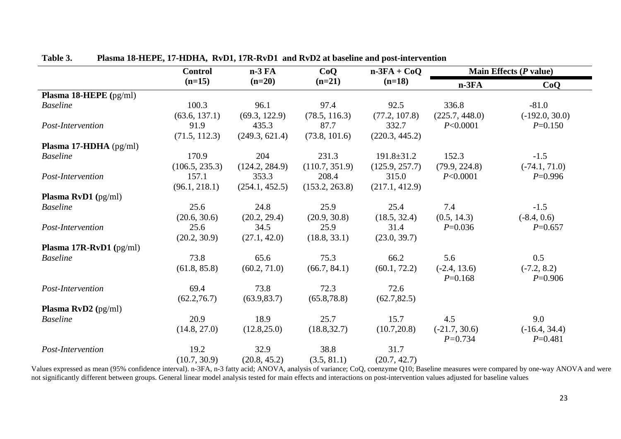|                                  | <b>Control</b> | $n-3FA$        | CoQ            | $n-3FA + CoQ$    | Main Effects $(P$ value) |                  |
|----------------------------------|----------------|----------------|----------------|------------------|--------------------------|------------------|
|                                  | $(n=15)$       | $(n=20)$       | $(n=21)$       | $(n=18)$         | $n-3FA$                  | CoQ              |
| <b>Plasma 18-HEPE</b> $(pg/ml)$  |                |                |                |                  |                          |                  |
| <b>Baseline</b>                  | 100.3          | 96.1           | 97.4           | 92.5             | 336.8                    | $-81.0$          |
|                                  | (63.6, 137.1)  | (69.3, 122.9)  | (78.5, 116.3)  | (77.2, 107.8)    | (225.7, 448.0)           | $(-192.0, 30.0)$ |
| Post-Intervention                | 91.9           | 435.3          | 87.7           | 332.7            | P<0.0001                 | $P=0.150$        |
|                                  | (71.5, 112.3)  | (249.3, 621.4) | (73.8, 101.6)  | (220.3, 445.2)   |                          |                  |
| Plasma 17-HDHA (pg/ml)           |                |                |                |                  |                          |                  |
| <b>Baseline</b>                  | 170.9          | 204            | 231.3          | $191.8 \pm 31.2$ | 152.3                    | $-1.5$           |
|                                  | (106.5, 235.3) | (124.2, 284.9) | (110.7, 351.9) | (125.9, 257.7)   | (79.9, 224.8)            | $(-74.1, 71.0)$  |
| Post-Intervention                | 157.1          | 353.3          | 208.4          | 315.0            | P<0.0001                 | $P=0.996$        |
|                                  | (96.1, 218.1)  | (254.1, 452.5) | (153.2, 263.8) | (217.1, 412.9)   |                          |                  |
| <b>Plasma RvD1</b> (pg/ml)       |                |                |                |                  |                          |                  |
| <b>Baseline</b>                  | 25.6           | 24.8           | 25.9           | 25.4             | 7.4                      | $-1.5$           |
|                                  | (20.6, 30.6)   | (20.2, 29.4)   | (20.9, 30.8)   | (18.5, 32.4)     | (0.5, 14.3)              | $(-8.4, 0.6)$    |
| Post-Intervention                | 25.6           | 34.5           | 25.9           | 31.4             | $P=0.036$                | $P=0.657$        |
|                                  | (20.2, 30.9)   | (27.1, 42.0)   | (18.8, 33.1)   | (23.0, 39.7)     |                          |                  |
| <b>Plasma 17R-RvD1</b> $(pg/ml)$ |                |                |                |                  |                          |                  |
| <b>Baseline</b>                  | 73.8           | 65.6           | 75.3           | 66.2             | 5.6                      | 0.5              |
|                                  | (61.8, 85.8)   | (60.2, 71.0)   | (66.7, 84.1)   | (60.1, 72.2)     | $(-2.4, 13.6)$           | $(-7.2, 8.2)$    |
|                                  |                |                |                |                  | $P=0.168$                | $P=0.906$        |
| Post-Intervention                | 69.4           | 73.8           | 72.3           | 72.6             |                          |                  |
|                                  | (62.2, 76.7)   | (63.9, 83.7)   | (65.8, 78.8)   | (62.7, 82.5)     |                          |                  |
| Plasma RvD2 (pg/ml)              |                |                |                |                  |                          |                  |
| <b>Baseline</b>                  | 20.9           | 18.9           | 25.7           | 15.7             | 4.5                      | 9.0              |
|                                  | (14.8, 27.0)   | (12.8, 25.0)   | (18.8, 32.7)   | (10.7, 20.8)     | $(-21.7, 30.6)$          | $(-16.4, 34.4)$  |
|                                  |                |                |                |                  | $P = 0.734$              | $P=0.481$        |
| Post-Intervention                | 19.2           | 32.9           | 38.8           | 31.7             |                          |                  |
|                                  | (10.7, 30.9)   | (20.8, 45.2)   | (3.5, 81.1)    | (20.7, 42.7)     |                          |                  |

# **Table 3. Plasma 18-HEPE, 17-HDHA, RvD1, 17R-RvD1 and RvD2 at baseline and post-intervention**

Values expressed as mean (95% confidence interval). n-3FA, n-3 fatty acid; ANOVA, analysis of variance; CoQ, coenzyme Q10; Baseline measures were compared by one-way ANOVA and were not significantly different between groups. General linear model analysis tested for main effects and interactions on post-intervention values adjusted for baseline values